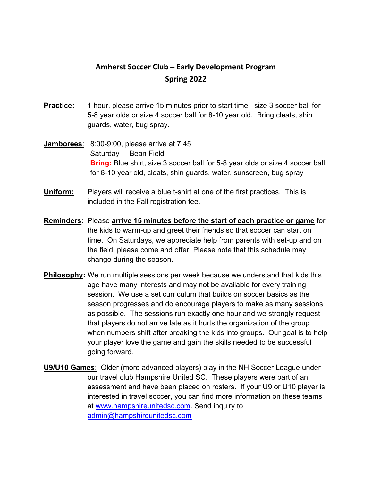## Amherst Soccer Club – Early Development Program Spring 2022

- **Practice:** 1 hour, please arrive 15 minutes prior to start time. size 3 soccer ball for 5-8 year olds or size 4 soccer ball for 8-10 year old. Bring cleats, shin guards, water, bug spray.
- Jamborees: 8:00-9:00, please arrive at 7:45 Saturday – Bean Field **Bring:** Blue shirt, size 3 soccer ball for 5-8 year olds or size 4 soccer ball for 8-10 year old, cleats, shin guards, water, sunscreen, bug spray
- Uniform: Players will receive a blue t-shirt at one of the first practices. This is included in the Fall registration fee.
- Reminders: Please arrive 15 minutes before the start of each practice or game for the kids to warm-up and greet their friends so that soccer can start on time. On Saturdays, we appreciate help from parents with set-up and on the field, please come and offer. Please note that this schedule may change during the season.
- Philosophy: We run multiple sessions per week because we understand that kids this age have many interests and may not be available for every training session. We use a set curriculum that builds on soccer basics as the season progresses and do encourage players to make as many sessions as possible. The sessions run exactly one hour and we strongly request that players do not arrive late as it hurts the organization of the group when numbers shift after breaking the kids into groups. Our goal is to help your player love the game and gain the skills needed to be successful going forward.
- U9/U10 Games: Older (more advanced players) play in the NH Soccer League under our travel club Hampshire United SC. These players were part of an assessment and have been placed on rosters. If your U9 or U10 player is interested in travel soccer, you can find more information on these teams at www.hampshireunitedsc.com. Send inquiry to admin@hampshireunitedsc.com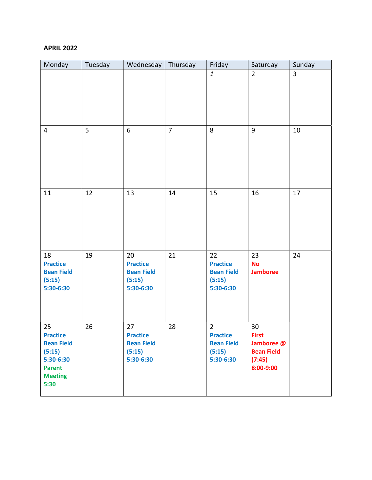## APRIL 2022

| Monday                                                                                                       | Tuesday | Wednesday                                                         | Thursday       | Friday                                                                        | Saturday                                                                     | Sunday         |
|--------------------------------------------------------------------------------------------------------------|---------|-------------------------------------------------------------------|----------------|-------------------------------------------------------------------------------|------------------------------------------------------------------------------|----------------|
|                                                                                                              |         |                                                                   |                | $\mathbf{1}$                                                                  | $\overline{2}$                                                               | $\overline{3}$ |
| 4                                                                                                            | 5       | $\boldsymbol{6}$                                                  | $\overline{7}$ | 8                                                                             | 9                                                                            | 10             |
| 11                                                                                                           | 12      | 13                                                                | 14             | 15                                                                            | 16                                                                           | 17             |
| 18<br><b>Practice</b><br><b>Bean Field</b><br>(5:15)<br>5:30-6:30                                            | 19      | 20<br><b>Practice</b><br><b>Bean Field</b><br>(5:15)<br>5:30-6:30 | 21             | 22<br><b>Practice</b><br><b>Bean Field</b><br>(5:15)<br>5:30-6:30             | 23<br><b>No</b><br><b>Jamboree</b>                                           | 24             |
| 25<br><b>Practice</b><br><b>Bean Field</b><br>(5:15)<br>5:30-6:30<br><b>Parent</b><br><b>Meeting</b><br>5:30 | 26      | 27<br><b>Practice</b><br><b>Bean Field</b><br>(5:15)<br>5:30-6:30 | 28             | $\overline{2}$<br><b>Practice</b><br><b>Bean Field</b><br>(5:15)<br>5:30-6:30 | 30<br><b>First</b><br>Jamboree @<br><b>Bean Field</b><br>(7:45)<br>8:00-9:00 |                |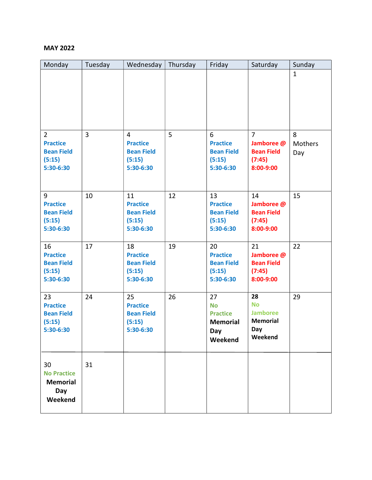## MAY 2022

| Monday                                                                        | Tuesday | Wednesday                                                                     | Thursday | Friday                                                                  | Saturday                                                                 | Sunday              |
|-------------------------------------------------------------------------------|---------|-------------------------------------------------------------------------------|----------|-------------------------------------------------------------------------|--------------------------------------------------------------------------|---------------------|
|                                                                               |         |                                                                               |          |                                                                         |                                                                          | $\mathbf{1}$        |
| $\overline{2}$<br><b>Practice</b><br><b>Bean Field</b><br>(5:15)<br>5:30-6:30 | 3       | $\overline{4}$<br><b>Practice</b><br><b>Bean Field</b><br>(5:15)<br>5:30-6:30 | 5        | 6<br><b>Practice</b><br><b>Bean Field</b><br>(5:15)<br>5:30-6:30        | $\overline{7}$<br>Jamboree @<br><b>Bean Field</b><br>(7:45)<br>8:00-9:00 | 8<br>Mothers<br>Day |
| 9<br><b>Practice</b><br><b>Bean Field</b><br>(5:15)<br>5:30-6:30              | 10      | 11<br><b>Practice</b><br><b>Bean Field</b><br>(5:15)<br>5:30-6:30             | 12       | 13<br><b>Practice</b><br><b>Bean Field</b><br>(5:15)<br>5:30-6:30       | 14<br>Jamboree @<br><b>Bean Field</b><br>(7:45)<br>8:00-9:00             | 15                  |
| 16<br><b>Practice</b><br><b>Bean Field</b><br>(5:15)<br>5:30-6:30             | 17      | 18<br><b>Practice</b><br><b>Bean Field</b><br>(5:15)<br>5:30-6:30             | 19       | 20<br><b>Practice</b><br><b>Bean Field</b><br>(5:15)<br>5:30-6:30       | 21<br>Jamboree @<br><b>Bean Field</b><br>(7:45)<br>8:00-9:00             | 22                  |
| 23<br><b>Practice</b><br><b>Bean Field</b><br>(5:15)<br>5:30-6:30             | 24      | 25<br><b>Practice</b><br><b>Bean Field</b><br>(5:15)<br>5:30-6:30             | 26       | 27<br><b>No</b><br><b>Practice</b><br><b>Memorial</b><br>Day<br>Weekend | 28<br><b>No</b><br><b>Jamboree</b><br><b>Memorial</b><br>Day<br>Weekend  | 29                  |
| 30<br><b>No Practice</b><br><b>Memorial</b><br>Day<br>Weekend                 | 31      |                                                                               |          |                                                                         |                                                                          |                     |